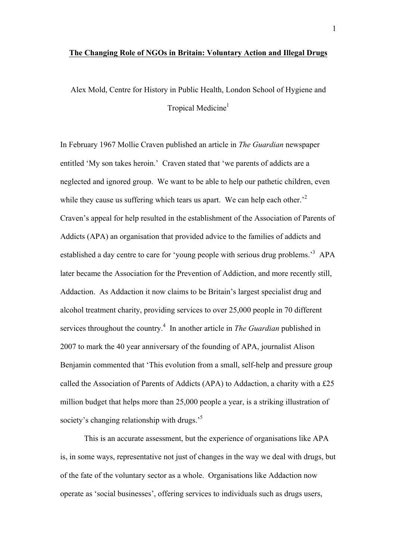## **The Changing Role of NGOs in Britain: Voluntary Action and Illegal Drugs**

Alex Mold, Centre for History in Public Health, London School of Hygiene and Tropical Medicine<sup>1</sup>

In February 1967 Mollie Craven published an article in *The Guardian* newspaper entitled 'My son takes heroin.' Craven stated that 'we parents of addicts are a neglected and ignored group. We want to be able to help our pathetic children, even while they cause us suffering which tears us apart. We can help each other.<sup>2</sup> Craven's appeal for help resulted in the establishment of the Association of Parents of Addicts (APA) an organisation that provided advice to the families of addicts and established a day centre to care for 'young people with serious drug problems.<sup>3</sup> APA later became the Association for the Prevention of Addiction, and more recently still, Addaction. As Addaction it now claims to be Britain's largest specialist drug and alcohol treatment charity, providing services to over 25,000 people in 70 different services throughout the country.<sup>4</sup> In another article in *The Guardian* published in 2007 to mark the 40 year anniversary of the founding of APA, journalist Alison Benjamin commented that 'This evolution from a small, self-help and pressure group called the Association of Parents of Addicts (APA) to Addaction, a charity with a £25 million budget that helps more than 25,000 people a year, is a striking illustration of society's changing relationship with drugs.<sup>55</sup>

This is an accurate assessment, but the experience of organisations like APA is, in some ways, representative not just of changes in the way we deal with drugs, but of the fate of the voluntary sector as a whole. Organisations like Addaction now operate as 'social businesses', offering services to individuals such as drugs users,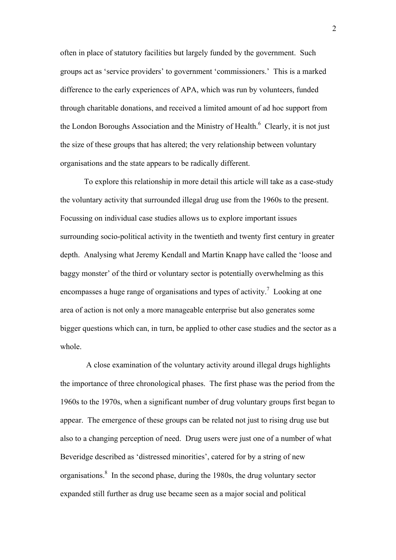often in place of statutory facilities but largely funded by the government. Such groups act as 'service providers' to government 'commissioners.' This is a marked difference to the early experiences of APA, which was run by volunteers, funded through charitable donations, and received a limited amount of ad hoc support from the London Boroughs Association and the Ministry of Health.<sup>6</sup> Clearly, it is not just the size of these groups that has altered; the very relationship between voluntary organisations and the state appears to be radically different.

To explore this relationship in more detail this article will take as a case-study the voluntary activity that surrounded illegal drug use from the 1960s to the present. Focussing on individual case studies allows us to explore important issues surrounding socio-political activity in the twentieth and twenty first century in greater depth. Analysing what Jeremy Kendall and Martin Knapp have called the 'loose and baggy monster' of the third or voluntary sector is potentially overwhelming as this encompasses a huge range of organisations and types of activity.<sup>7</sup> Looking at one area of action is not only a more manageable enterprise but also generates some bigger questions which can, in turn, be applied to other case studies and the sector as a whole.

A close examination of the voluntary activity around illegal drugs highlights the importance of three chronological phases. The first phase was the period from the 1960s to the 1970s, when a significant number of drug voluntary groups first began to appear. The emergence of these groups can be related not just to rising drug use but also to a changing perception of need. Drug users were just one of a number of what Beveridge described as 'distressed minorities', catered for by a string of new organisations. $8\,$  In the second phase, during the 1980s, the drug voluntary sector expanded still further as drug use became seen as a major social and political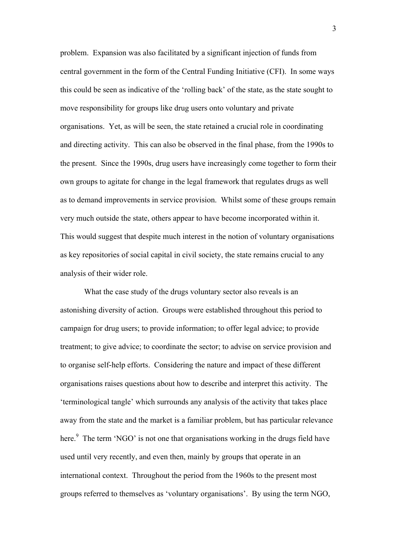problem. Expansion was also facilitated by a significant injection of funds from central government in the form of the Central Funding Initiative (CFI). In some ways this could be seen as indicative of the 'rolling back' of the state, as the state sought to move responsibility for groups like drug users onto voluntary and private organisations. Yet, as will be seen, the state retained a crucial role in coordinating and directing activity. This can also be observed in the final phase, from the 1990s to the present. Since the 1990s, drug users have increasingly come together to form their own groups to agitate for change in the legal framework that regulates drugs as well as to demand improvements in service provision. Whilst some of these groups remain very much outside the state, others appear to have become incorporated within it. This would suggest that despite much interest in the notion of voluntary organisations as key repositories of social capital in civil society, the state remains crucial to any analysis of their wider role.

What the case study of the drugs voluntary sector also reveals is an astonishing diversity of action. Groups were established throughout this period to campaign for drug users; to provide information; to offer legal advice; to provide treatment; to give advice; to coordinate the sector; to advise on service provision and to organise self-help efforts. Considering the nature and impact of these different organisations raises questions about how to describe and interpret this activity. The 'terminological tangle' which surrounds any analysis of the activity that takes place away from the state and the market is a familiar problem, but has particular relevance here.<sup>9</sup> The term 'NGO' is not one that organisations working in the drugs field have used until very recently, and even then, mainly by groups that operate in an international context. Throughout the period from the 1960s to the present most groups referred to themselves as 'voluntary organisations'. By using the term NGO,

3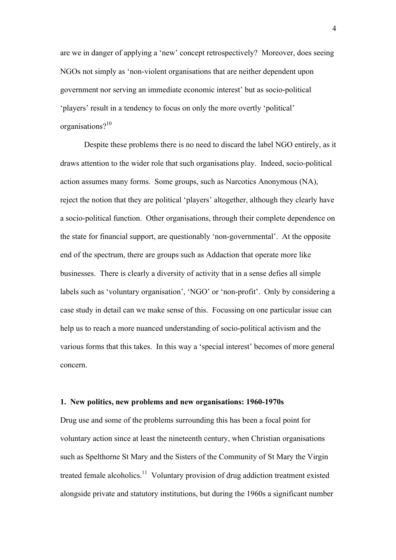are we in danger of applying a 'new' concept retrospectively? Moreover, does seeing NGOs not simply as 'non-violent organisations that are neither dependent upon government nor serving an immediate economic interest' but as socio-political 'players' result in a tendency to focus on only the more overtly 'political' organisations?10

Despite these problems there is no need to discard the label NGO entirely, as it draws attention to the wider role that such organisations play. Indeed, socio-political action assumes many forms. Some groups, such as Narcotics Anonymous (NA), reject the notion that they are political 'players' altogether, although they clearly have a socio-political function. Other organisations, through their complete dependence on the state for financial support, are questionably 'non-governmental'. At the opposite end of the spectrum, there are groups such as Addaction that operate more like businesses. There is clearly a diversity of activity that in a sense defies all simple labels such as 'voluntary organisation', 'NGO' or 'non-profit'. Only by considering a case study in detail can we make sense of this. Focussing on one particular issue can help us to reach a more nuanced understanding of socio-political activism and the various forms that this takes. In this way a 'special interest' becomes of more general concern.

## **1. New politics, new problems and new organisations: 1960-1970s**

Drug use and some of the problems surrounding this has been a focal point for voluntary action since at least the nineteenth century, when Christian organisations such as Spelthorne St Mary and the Sisters of the Community of St Mary the Virgin treated female alcoholics.<sup>11</sup> Voluntary provision of drug addiction treatment existed alongside private and statutory institutions, but during the 1960s a significant number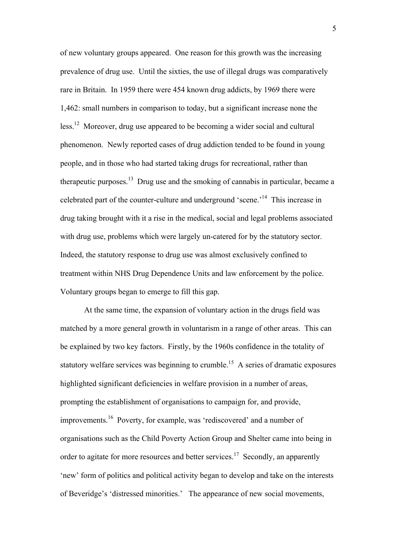of new voluntary groups appeared. One reason for this growth was the increasing prevalence of drug use. Until the sixties, the use of illegal drugs was comparatively rare in Britain. In 1959 there were 454 known drug addicts, by 1969 there were 1,462: small numbers in comparison to today, but a significant increase none the less.<sup>12</sup> Moreover, drug use appeared to be becoming a wider social and cultural phenomenon. Newly reported cases of drug addiction tended to be found in young people, and in those who had started taking drugs for recreational, rather than therapeutic purposes.<sup>13</sup> Drug use and the smoking of cannabis in particular, became a celebrated part of the counter-culture and underground 'scene.'14 This increase in drug taking brought with it a rise in the medical, social and legal problems associated with drug use, problems which were largely un-catered for by the statutory sector. Indeed, the statutory response to drug use was almost exclusively confined to treatment within NHS Drug Dependence Units and law enforcement by the police. Voluntary groups began to emerge to fill this gap.

At the same time, the expansion of voluntary action in the drugs field was matched by a more general growth in voluntarism in a range of other areas. This can be explained by two key factors. Firstly, by the 1960s confidence in the totality of statutory welfare services was beginning to crumble.<sup>15</sup> A series of dramatic exposures highlighted significant deficiencies in welfare provision in a number of areas, prompting the establishment of organisations to campaign for, and provide, improvements.16 Poverty, for example, was 'rediscovered' and a number of organisations such as the Child Poverty Action Group and Shelter came into being in order to agitate for more resources and better services.<sup>17</sup> Secondly, an apparently 'new' form of politics and political activity began to develop and take on the interests of Beveridge's 'distressed minorities.' The appearance of new social movements,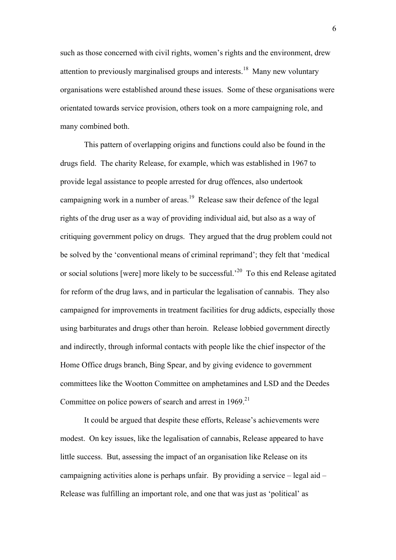such as those concerned with civil rights, women's rights and the environment, drew attention to previously marginalised groups and interests.<sup>18</sup> Many new voluntary organisations were established around these issues. Some of these organisations were orientated towards service provision, others took on a more campaigning role, and many combined both.

This pattern of overlapping origins and functions could also be found in the drugs field. The charity Release, for example, which was established in 1967 to provide legal assistance to people arrested for drug offences, also undertook campaigning work in a number of areas.<sup>19</sup> Release saw their defence of the legal rights of the drug user as a way of providing individual aid, but also as a way of critiquing government policy on drugs. They argued that the drug problem could not be solved by the 'conventional means of criminal reprimand'; they felt that 'medical or social solutions [were] more likely to be successful.<sup>20</sup> To this end Release agitated for reform of the drug laws, and in particular the legalisation of cannabis. They also campaigned for improvements in treatment facilities for drug addicts, especially those using barbiturates and drugs other than heroin. Release lobbied government directly and indirectly, through informal contacts with people like the chief inspector of the Home Office drugs branch, Bing Spear, and by giving evidence to government committees like the Wootton Committee on amphetamines and LSD and the Deedes Committee on police powers of search and arrest in  $1969$ <sup>21</sup>

It could be argued that despite these efforts, Release's achievements were modest. On key issues, like the legalisation of cannabis, Release appeared to have little success. But, assessing the impact of an organisation like Release on its campaigning activities alone is perhaps unfair. By providing a service – legal aid – Release was fulfilling an important role, and one that was just as 'political' as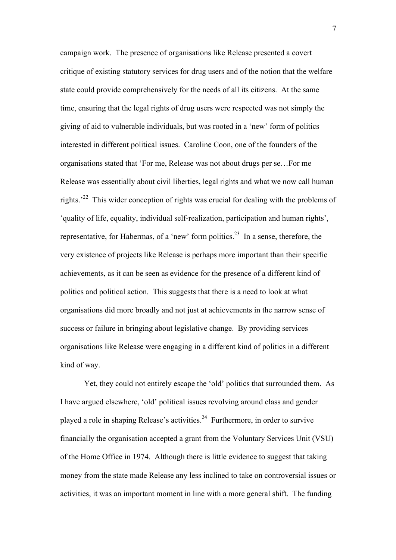campaign work. The presence of organisations like Release presented a covert critique of existing statutory services for drug users and of the notion that the welfare state could provide comprehensively for the needs of all its citizens. At the same time, ensuring that the legal rights of drug users were respected was not simply the giving of aid to vulnerable individuals, but was rooted in a 'new' form of politics interested in different political issues. Caroline Coon, one of the founders of the organisations stated that 'For me, Release was not about drugs per se…For me Release was essentially about civil liberties, legal rights and what we now call human rights.<sup>22</sup> This wider conception of rights was crucial for dealing with the problems of 'quality of life, equality, individual self-realization, participation and human rights', representative, for Habermas, of a 'new' form politics.<sup>23</sup> In a sense, therefore, the very existence of projects like Release is perhaps more important than their specific achievements, as it can be seen as evidence for the presence of a different kind of politics and political action. This suggests that there is a need to look at what organisations did more broadly and not just at achievements in the narrow sense of success or failure in bringing about legislative change. By providing services organisations like Release were engaging in a different kind of politics in a different kind of way.

Yet, they could not entirely escape the 'old' politics that surrounded them. As I have argued elsewhere, 'old' political issues revolving around class and gender played a role in shaping Release's activities.<sup>24</sup> Furthermore, in order to survive financially the organisation accepted a grant from the Voluntary Services Unit (VSU) of the Home Office in 1974. Although there is little evidence to suggest that taking money from the state made Release any less inclined to take on controversial issues or activities, it was an important moment in line with a more general shift. The funding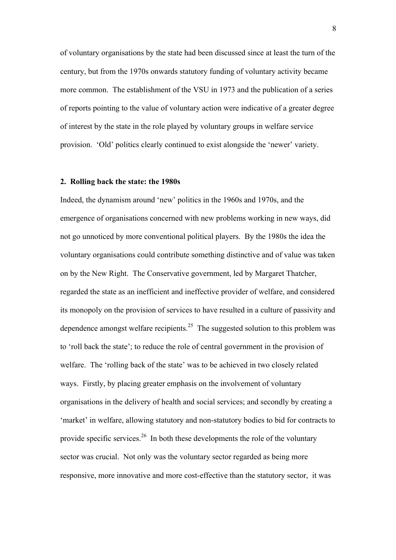of voluntary organisations by the state had been discussed since at least the turn of the century, but from the 1970s onwards statutory funding of voluntary activity became more common. The establishment of the VSU in 1973 and the publication of a series of reports pointing to the value of voluntary action were indicative of a greater degree of interest by the state in the role played by voluntary groups in welfare service provision. 'Old' politics clearly continued to exist alongside the 'newer' variety.

## **2. Rolling back the state: the 1980s**

Indeed, the dynamism around 'new' politics in the 1960s and 1970s, and the emergence of organisations concerned with new problems working in new ways, did not go unnoticed by more conventional political players. By the 1980s the idea the voluntary organisations could contribute something distinctive and of value was taken on by the New Right. The Conservative government, led by Margaret Thatcher, regarded the state as an inefficient and ineffective provider of welfare, and considered its monopoly on the provision of services to have resulted in a culture of passivity and dependence amongst welfare recipients.<sup>25</sup> The suggested solution to this problem was to 'roll back the state'; to reduce the role of central government in the provision of welfare. The 'rolling back of the state' was to be achieved in two closely related ways. Firstly, by placing greater emphasis on the involvement of voluntary organisations in the delivery of health and social services; and secondly by creating a 'market' in welfare, allowing statutory and non-statutory bodies to bid for contracts to provide specific services.<sup>26</sup> In both these developments the role of the voluntary sector was crucial. Not only was the voluntary sector regarded as being more responsive, more innovative and more cost-effective than the statutory sector, it was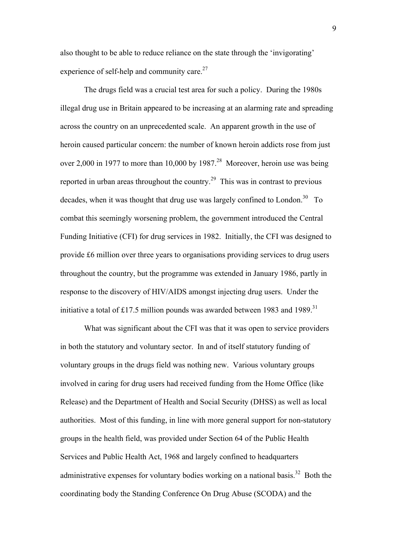also thought to be able to reduce reliance on the state through the 'invigorating' experience of self-help and community care. $27$ 

The drugs field was a crucial test area for such a policy. During the 1980s illegal drug use in Britain appeared to be increasing at an alarming rate and spreading across the country on an unprecedented scale. An apparent growth in the use of heroin caused particular concern: the number of known heroin addicts rose from just over 2,000 in 1977 to more than 10,000 by 1987.<sup>28</sup> Moreover, heroin use was being reported in urban areas throughout the country.<sup>29</sup> This was in contrast to previous decades, when it was thought that drug use was largely confined to London.<sup>30</sup> To combat this seemingly worsening problem, the government introduced the Central Funding Initiative (CFI) for drug services in 1982. Initially, the CFI was designed to provide £6 million over three years to organisations providing services to drug users throughout the country, but the programme was extended in January 1986, partly in response to the discovery of HIV/AIDS amongst injecting drug users. Under the initiative a total of £17.5 million pounds was awarded between 1983 and 1989.<sup>31</sup>

What was significant about the CFI was that it was open to service providers in both the statutory and voluntary sector. In and of itself statutory funding of voluntary groups in the drugs field was nothing new. Various voluntary groups involved in caring for drug users had received funding from the Home Office (like Release) and the Department of Health and Social Security (DHSS) as well as local authorities. Most of this funding, in line with more general support for non-statutory groups in the health field, was provided under Section 64 of the Public Health Services and Public Health Act, 1968 and largely confined to headquarters administrative expenses for voluntary bodies working on a national basis.<sup>32</sup> Both the coordinating body the Standing Conference On Drug Abuse (SCODA) and the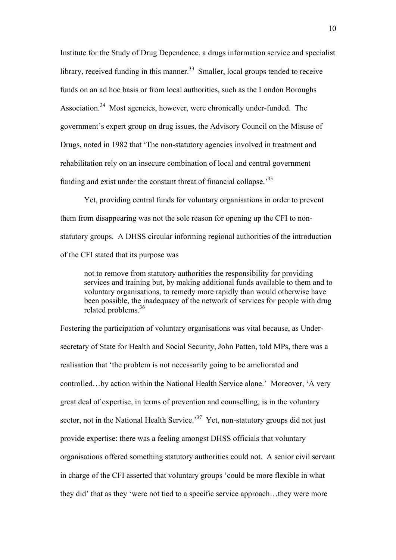Institute for the Study of Drug Dependence, a drugs information service and specialist library, received funding in this manner.<sup>33</sup> Smaller, local groups tended to receive funds on an ad hoc basis or from local authorities, such as the London Boroughs Association.<sup>34</sup> Most agencies, however, were chronically under-funded. The government's expert group on drug issues, the Advisory Council on the Misuse of Drugs, noted in 1982 that 'The non-statutory agencies involved in treatment and rehabilitation rely on an insecure combination of local and central government funding and exist under the constant threat of financial collapse.<sup>35</sup>

Yet, providing central funds for voluntary organisations in order to prevent them from disappearing was not the sole reason for opening up the CFI to nonstatutory groups. A DHSS circular informing regional authorities of the introduction of the CFI stated that its purpose was

not to remove from statutory authorities the responsibility for providing services and training but, by making additional funds available to them and to voluntary organisations, to remedy more rapidly than would otherwise have been possible, the inadequacy of the network of services for people with drug related problems.36

Fostering the participation of voluntary organisations was vital because, as Undersecretary of State for Health and Social Security, John Patten, told MPs, there was a realisation that 'the problem is not necessarily going to be ameliorated and controlled…by action within the National Health Service alone.' Moreover, 'A very great deal of expertise, in terms of prevention and counselling, is in the voluntary sector, not in the National Health Service.<sup>37</sup> Yet, non-statutory groups did not just provide expertise: there was a feeling amongst DHSS officials that voluntary organisations offered something statutory authorities could not. A senior civil servant in charge of the CFI asserted that voluntary groups 'could be more flexible in what they did' that as they 'were not tied to a specific service approach…they were more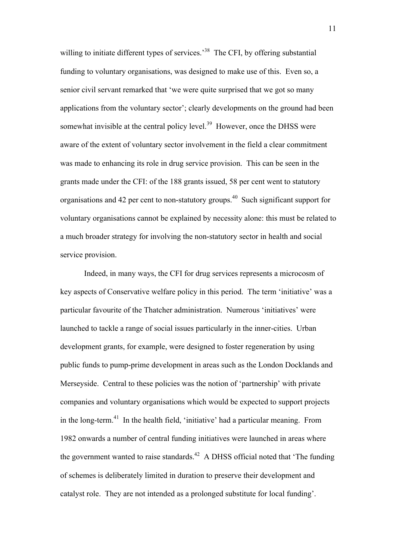willing to initiate different types of services.<sup>38</sup> The CFI, by offering substantial funding to voluntary organisations, was designed to make use of this. Even so, a senior civil servant remarked that 'we were quite surprised that we got so many applications from the voluntary sector'; clearly developments on the ground had been somewhat invisible at the central policy level.<sup>39</sup> However, once the DHSS were aware of the extent of voluntary sector involvement in the field a clear commitment was made to enhancing its role in drug service provision. This can be seen in the grants made under the CFI: of the 188 grants issued, 58 per cent went to statutory organisations and 42 per cent to non-statutory groups.<sup>40</sup> Such significant support for voluntary organisations cannot be explained by necessity alone: this must be related to a much broader strategy for involving the non-statutory sector in health and social service provision.

Indeed, in many ways, the CFI for drug services represents a microcosm of key aspects of Conservative welfare policy in this period. The term 'initiative' was a particular favourite of the Thatcher administration. Numerous 'initiatives' were launched to tackle a range of social issues particularly in the inner-cities. Urban development grants, for example, were designed to foster regeneration by using public funds to pump-prime development in areas such as the London Docklands and Merseyside. Central to these policies was the notion of 'partnership' with private companies and voluntary organisations which would be expected to support projects in the long-term.41 In the health field, 'initiative' had a particular meaning. From 1982 onwards a number of central funding initiatives were launched in areas where the government wanted to raise standards.<sup>42</sup> A DHSS official noted that 'The funding of schemes is deliberately limited in duration to preserve their development and catalyst role. They are not intended as a prolonged substitute for local funding'.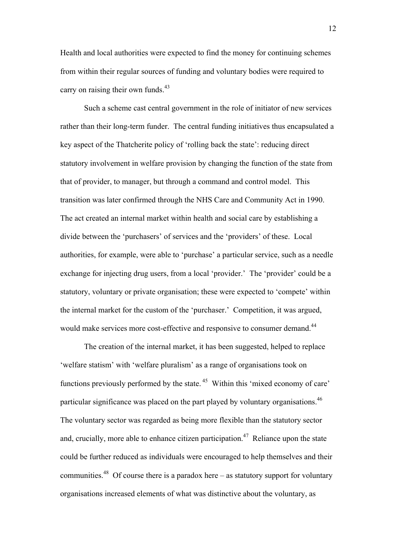Health and local authorities were expected to find the money for continuing schemes from within their regular sources of funding and voluntary bodies were required to carry on raising their own funds. $43$ 

Such a scheme cast central government in the role of initiator of new services rather than their long-term funder. The central funding initiatives thus encapsulated a key aspect of the Thatcherite policy of 'rolling back the state': reducing direct statutory involvement in welfare provision by changing the function of the state from that of provider, to manager, but through a command and control model. This transition was later confirmed through the NHS Care and Community Act in 1990. The act created an internal market within health and social care by establishing a divide between the 'purchasers' of services and the 'providers' of these. Local authorities, for example, were able to 'purchase' a particular service, such as a needle exchange for injecting drug users, from a local 'provider.' The 'provider' could be a statutory, voluntary or private organisation; these were expected to 'compete' within the internal market for the custom of the 'purchaser.' Competition, it was argued, would make services more cost-effective and responsive to consumer demand.<sup>44</sup>

The creation of the internal market, it has been suggested, helped to replace 'welfare statism' with 'welfare pluralism' as a range of organisations took on functions previously performed by the state. 45 Within this 'mixed economy of care' particular significance was placed on the part played by voluntary organisations.<sup>46</sup> The voluntary sector was regarded as being more flexible than the statutory sector and, crucially, more able to enhance citizen participation.<sup>47</sup> Reliance upon the state could be further reduced as individuals were encouraged to help themselves and their communities.<sup>48</sup> Of course there is a paradox here – as statutory support for voluntary organisations increased elements of what was distinctive about the voluntary, as

12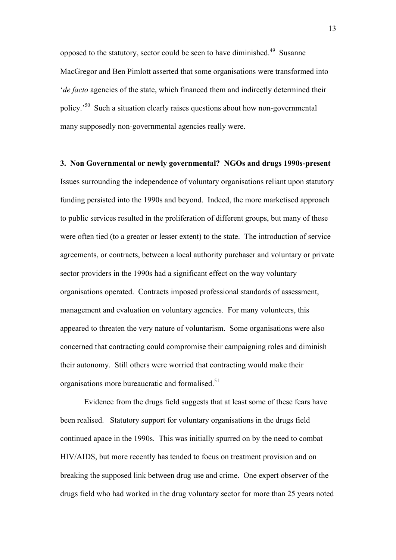opposed to the statutory, sector could be seen to have diminished.49 Susanne MacGregor and Ben Pimlott asserted that some organisations were transformed into '*de facto* agencies of the state, which financed them and indirectly determined their policy.'50 Such a situation clearly raises questions about how non-governmental many supposedly non-governmental agencies really were.

**3. Non Governmental or newly governmental? NGOs and drugs 1990s-present** Issues surrounding the independence of voluntary organisations reliant upon statutory funding persisted into the 1990s and beyond. Indeed, the more marketised approach to public services resulted in the proliferation of different groups, but many of these were often tied (to a greater or lesser extent) to the state. The introduction of service agreements, or contracts, between a local authority purchaser and voluntary or private sector providers in the 1990s had a significant effect on the way voluntary organisations operated. Contracts imposed professional standards of assessment, management and evaluation on voluntary agencies. For many volunteers, this appeared to threaten the very nature of voluntarism. Some organisations were also concerned that contracting could compromise their campaigning roles and diminish their autonomy. Still others were worried that contracting would make their organisations more bureaucratic and formalised.<sup>51</sup>

Evidence from the drugs field suggests that at least some of these fears have been realised. Statutory support for voluntary organisations in the drugs field continued apace in the 1990s. This was initially spurred on by the need to combat HIV/AIDS, but more recently has tended to focus on treatment provision and on breaking the supposed link between drug use and crime. One expert observer of the drugs field who had worked in the drug voluntary sector for more than 25 years noted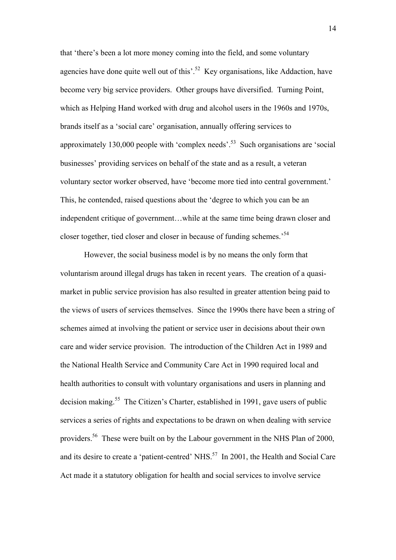that 'there's been a lot more money coming into the field, and some voluntary agencies have done quite well out of this'.<sup>52</sup> Key organisations, like Addaction, have become very big service providers. Other groups have diversified. Turning Point, which as Helping Hand worked with drug and alcohol users in the 1960s and 1970s, brands itself as a 'social care' organisation, annually offering services to approximately 130,000 people with 'complex needs'.53 Such organisations are 'social businesses' providing services on behalf of the state and as a result, a veteran voluntary sector worker observed, have 'become more tied into central government.' This, he contended, raised questions about the 'degree to which you can be an independent critique of government…while at the same time being drawn closer and closer together, tied closer and closer in because of funding schemes.' 54

However, the social business model is by no means the only form that voluntarism around illegal drugs has taken in recent years. The creation of a quasimarket in public service provision has also resulted in greater attention being paid to the views of users of services themselves. Since the 1990s there have been a string of schemes aimed at involving the patient or service user in decisions about their own care and wider service provision. The introduction of the Children Act in 1989 and the National Health Service and Community Care Act in 1990 required local and health authorities to consult with voluntary organisations and users in planning and decision making.<sup>55</sup> The Citizen's Charter, established in 1991, gave users of public services a series of rights and expectations to be drawn on when dealing with service providers.56 These were built on by the Labour government in the NHS Plan of 2000, and its desire to create a 'patient-centred' NHS.<sup>57</sup> In 2001, the Health and Social Care Act made it a statutory obligation for health and social services to involve service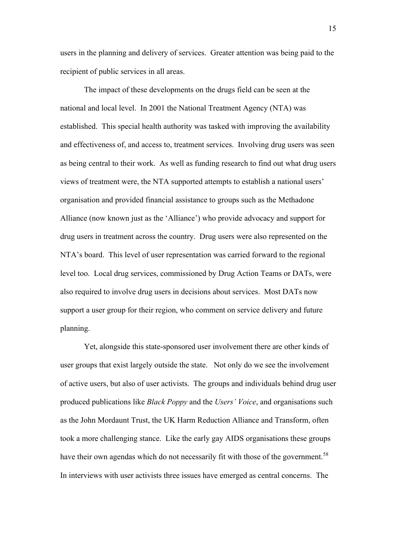users in the planning and delivery of services. Greater attention was being paid to the recipient of public services in all areas.

The impact of these developments on the drugs field can be seen at the national and local level. In 2001 the National Treatment Agency (NTA) was established. This special health authority was tasked with improving the availability and effectiveness of, and access to, treatment services. Involving drug users was seen as being central to their work. As well as funding research to find out what drug users views of treatment were, the NTA supported attempts to establish a national users' organisation and provided financial assistance to groups such as the Methadone Alliance (now known just as the 'Alliance') who provide advocacy and support for drug users in treatment across the country. Drug users were also represented on the NTA's board. This level of user representation was carried forward to the regional level too. Local drug services, commissioned by Drug Action Teams or DATs, were also required to involve drug users in decisions about services. Most DATs now support a user group for their region, who comment on service delivery and future planning.

Yet, alongside this state-sponsored user involvement there are other kinds of user groups that exist largely outside the state. Not only do we see the involvement of active users, but also of user activists. The groups and individuals behind drug user produced publications like *Black Poppy* and the *Users' Voice*, and organisations such as the John Mordaunt Trust, the UK Harm Reduction Alliance and Transform, often took a more challenging stance. Like the early gay AIDS organisations these groups have their own agendas which do not necessarily fit with those of the government.<sup>58</sup> In interviews with user activists three issues have emerged as central concerns. The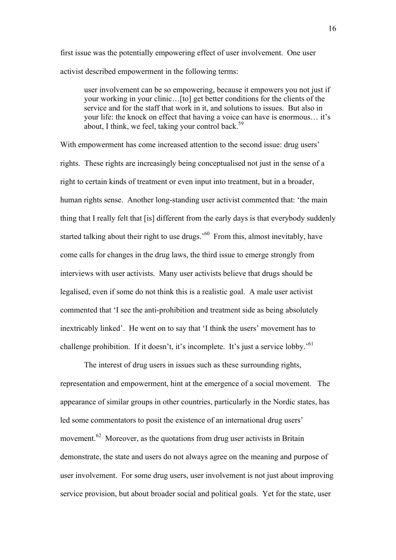first issue was the potentially empowering effect of user involvement. One user activist described empowerment in the following terms:

user involvement can be so empowering, because it empowers you not just if your working in your clinic…[to] get better conditions for the clients of the service and for the staff that work in it, and solutions to issues. But also in your life: the knock on effect that having a voice can have is enormous… it's about, I think, we feel, taking your control back.<sup>59</sup>

With empowerment has come increased attention to the second issue: drug users' rights. These rights are increasingly being conceptualised not just in the sense of a right to certain kinds of treatment or even input into treatment, but in a broader, human rights sense. Another long-standing user activist commented that: 'the main thing that I really felt that [is] different from the early days is that everybody suddenly started talking about their right to use drugs.<sup>560</sup> From this, almost inevitably, have come calls for changes in the drug laws, the third issue to emerge strongly from interviews with user activists. Many user activists believe that drugs should be legalised, even if some do not think this is a realistic goal. A male user activist commented that 'I see the anti-prohibition and treatment side as being absolutely inextricably linked'. He went on to say that 'I think the users' movement has to challenge prohibition. If it doesn't, it's incomplete. It's just a service lobby.'<sup>61</sup>

The interest of drug users in issues such as these surrounding rights, representation and empowerment, hint at the emergence of a social movement. The appearance of similar groups in other countries, particularly in the Nordic states, has led some commentators to posit the existence of an international drug users' movement.<sup>62</sup> Moreover, as the quotations from drug user activists in Britain demonstrate, the state and users do not always agree on the meaning and purpose of user involvement. For some drug users, user involvement is not just about improving service provision, but about broader social and political goals. Yet for the state, user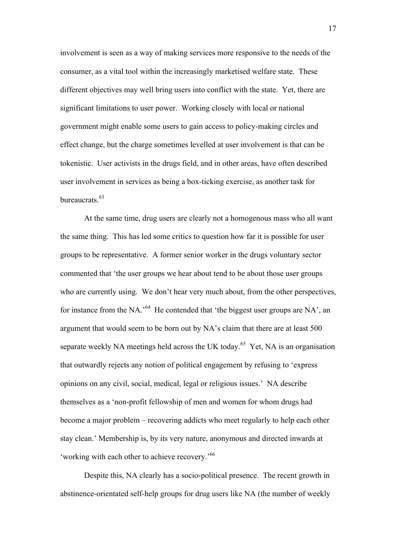involvement is seen as a way of making services more responsive to the needs of the consumer, as a vital tool within the increasingly marketised welfare state. These different objectives may well bring users into conflict with the state. Yet, there are significant limitations to user power. Working closely with local or national government might enable some users to gain access to policy-making circles and effect change, but the charge sometimes levelled at user involvement is that can be tokenistic. User activists in the drugs field, and in other areas, have often described user involvement in services as being a box-ticking exercise, as another task for bureaucrats.<sup>63</sup>

At the same time, drug users are clearly not a homogenous mass who all want the same thing. This has led some critics to question how far it is possible for user groups to be representative. A former senior worker in the drugs voluntary sector commented that 'the user groups we hear about tend to be about those user groups who are currently using. We don't hear very much about, from the other perspectives, for instance from the NA.<sup> $64$ </sup> He contended that 'the biggest user groups are NA', an argument that would seem to be born out by NA's claim that there are at least 500 separate weekly NA meetings held across the UK today.<sup>65</sup> Yet, NA is an organisation that outwardly rejects any notion of political engagement by refusing to 'express opinions on any civil, social, medical, legal or religious issues.' NA describe themselves as a 'non-profit fellowship of men and women for whom drugs had become a major problem – recovering addicts who meet regularly to help each other stay clean.' Membership is, by its very nature, anonymous and directed inwards at 'working with each other to achieve recovery.'<sup>66</sup>

Despite this, NA clearly has a socio-political presence. The recent growth in abstinence-orientated self-help groups for drug users like NA (the number of weekly

17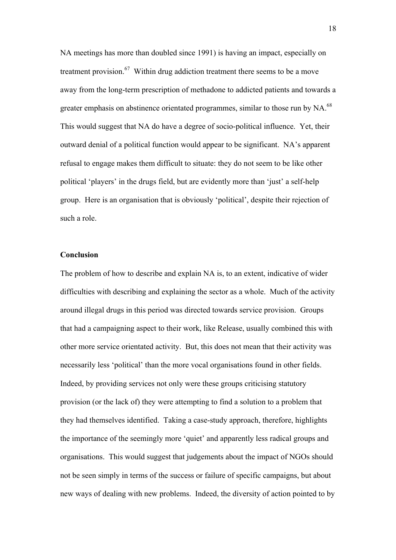NA meetings has more than doubled since 1991) is having an impact, especially on treatment provision.<sup>67</sup> Within drug addiction treatment there seems to be a move away from the long-term prescription of methadone to addicted patients and towards a greater emphasis on abstinence orientated programmes, similar to those run by NA.<sup>68</sup> This would suggest that NA do have a degree of socio-political influence. Yet, their outward denial of a political function would appear to be significant. NA's apparent refusal to engage makes them difficult to situate: they do not seem to be like other political 'players' in the drugs field, but are evidently more than 'just' a self-help group. Here is an organisation that is obviously 'political', despite their rejection of such a role.

## **Conclusion**

The problem of how to describe and explain NA is, to an extent, indicative of wider difficulties with describing and explaining the sector as a whole. Much of the activity around illegal drugs in this period was directed towards service provision. Groups that had a campaigning aspect to their work, like Release, usually combined this with other more service orientated activity. But, this does not mean that their activity was necessarily less 'political' than the more vocal organisations found in other fields. Indeed, by providing services not only were these groups criticising statutory provision (or the lack of) they were attempting to find a solution to a problem that they had themselves identified. Taking a case-study approach, therefore, highlights the importance of the seemingly more 'quiet' and apparently less radical groups and organisations. This would suggest that judgements about the impact of NGOs should not be seen simply in terms of the success or failure of specific campaigns, but about new ways of dealing with new problems. Indeed, the diversity of action pointed to by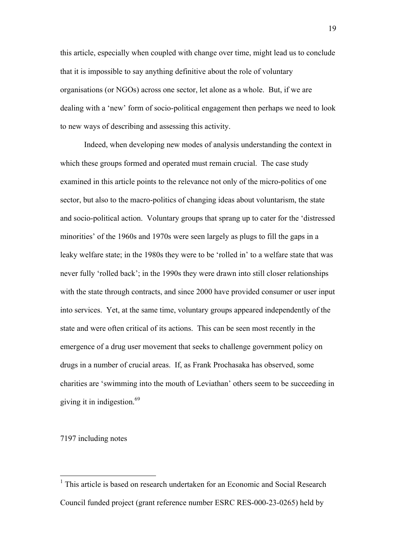this article, especially when coupled with change over time, might lead us to conclude that it is impossible to say anything definitive about the role of voluntary organisations (or NGOs) across one sector, let alone as a whole. But, if we are dealing with a 'new' form of socio-political engagement then perhaps we need to look to new ways of describing and assessing this activity.

Indeed, when developing new modes of analysis understanding the context in which these groups formed and operated must remain crucial. The case study examined in this article points to the relevance not only of the micro-politics of one sector, but also to the macro-politics of changing ideas about voluntarism, the state and socio-political action. Voluntary groups that sprang up to cater for the 'distressed minorities' of the 1960s and 1970s were seen largely as plugs to fill the gaps in a leaky welfare state; in the 1980s they were to be 'rolled in' to a welfare state that was never fully 'rolled back'; in the 1990s they were drawn into still closer relationships with the state through contracts, and since 2000 have provided consumer or user input into services. Yet, at the same time, voluntary groups appeared independently of the state and were often critical of its actions. This can be seen most recently in the emergence of a drug user movement that seeks to challenge government policy on drugs in a number of crucial areas. If, as Frank Prochasaka has observed, some charities are 'swimming into the mouth of Leviathan' others seem to be succeeding in giving it in indigestion.<sup>69</sup>

7197 including notes

<sup>&</sup>lt;sup>1</sup> This article is based on research undertaken for an Economic and Social Research Council funded project (grant reference number ESRC RES-000-23-0265) held by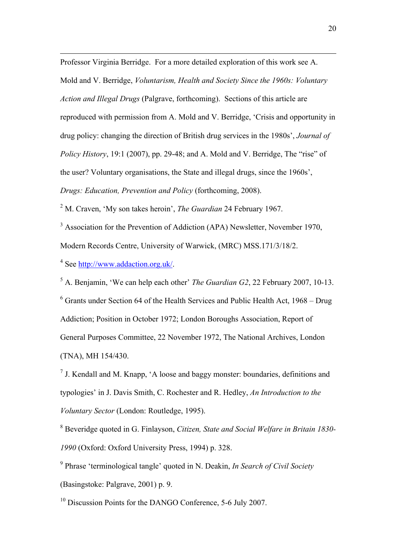Professor Virginia Berridge. For a more detailed exploration of this work see A. Mold and V. Berridge, *Voluntarism, Health and Society Since the 1960s: Voluntary Action and Illegal Drugs* (Palgrave, forthcoming). Sections of this article are reproduced with permission from A. Mold and V. Berridge, 'Crisis and opportunity in drug policy: changing the direction of British drug services in the 1980s', *Journal of Policy History*, 19:1 (2007), pp. 29-48; and A. Mold and V. Berridge, The "rise" of the user? Voluntary organisations, the State and illegal drugs, since the 1960s', *Drugs: Education, Prevention and Policy* (forthcoming, 2008).

<sup>2</sup> M. Craven, 'My son takes heroin', *The Guardian* 24 February 1967.

<sup>3</sup> Association for the Prevention of Addiction (APA) Newsletter, November 1970, Modern Records Centre, University of Warwick, (MRC) MSS.171/3/18/2.

<sup>4</sup> See http://www.addaction.org.uk/.

 $\overline{a}$ 

<sup>5</sup> A. Benjamin, 'We can help each other' *The Guardian G2*, 22 February 2007, 10-13.  $6$  Grants under Section 64 of the Health Services and Public Health Act, 1968 – Drug Addiction; Position in October 1972; London Boroughs Association, Report of General Purposes Committee, 22 November 1972, The National Archives, London (TNA), MH 154/430.

 $<sup>7</sup>$  J. Kendall and M. Knapp, 'A loose and baggy monster: boundaries, definitions and</sup> typologies' in J. Davis Smith, C. Rochester and R. Hedley, *An Introduction to the Voluntary Sector* (London: Routledge, 1995).

<sup>8</sup> Beveridge quoted in G. Finlayson, *Citizen, State and Social Welfare in Britain 1830- 1990* (Oxford: Oxford University Press, 1994) p. 328.

<sup>9</sup> Phrase 'terminological tangle' quoted in N. Deakin, *In Search of Civil Society*  (Basingstoke: Palgrave, 2001) p. 9.

<sup>10</sup> Discussion Points for the DANGO Conference, 5-6 July 2007.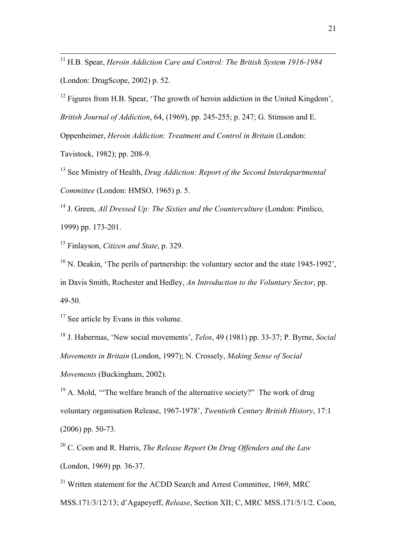11 H.B. Spear, *Heroin Addiction Care and Control: The British System 1916-1984*  (London: DrugScope, 2002) p. 52.

 $12$  Figures from H.B. Spear, 'The growth of heroin addiction in the United Kingdom'. *British Journal of Addiction*, 64, (1969), pp. 245-255; p. 247; G. Stimson and E. Oppenheimer, *Heroin Addiction: Treatment and Control in Britain* (London:

Tavistock, 1982); pp. 208-9.

<sup>13</sup> See Ministry of Health, *Drug Addiction: Report of the Second Interdepartmental Committee* (London: HMSO, 1965) p. 5.

<sup>14</sup> J. Green, *All Dressed Up: The Sixties and the Counterculture* (London: Pimlico, 1999) pp. 173-201.

<sup>15</sup> Finlayson, *Citizen and State*, p. 329.

<sup>16</sup> N. Deakin, 'The perils of partnership: the voluntary sector and the state 1945-1992', in Davis Smith, Rochester and Hedley, *An Introduction to the Voluntary Sector*, pp. 49-50.

<sup>17</sup> See article by Evans in this volume.

<sup>18</sup> J. Habermas, 'New social movements', *Telos*, 49 (1981) pp. 33-37; P. Byrne, *Social Movements in Britain* (London, 1997); N. Crossely, *Making Sense of Social Movements* (Buckingham, 2002).

 $19$  A. Mold, "The welfare branch of the alternative society?" The work of drug voluntary organisation Release, 1967-1978', *Twentieth Century British History*, 17:1 (2006) pp. 50-73.

<sup>20</sup> C. Coon and R. Harris, *The Release Report On Drug Offenders and the Law*  (London, 1969) pp. 36-37.

 $21$  Written statement for the ACDD Search and Arrest Committee, 1969, MRC MSS.171/3/12/13; d'Agapeyeff, *Release*, Section XII; C, MRC MSS.171/5/1/2. Coon,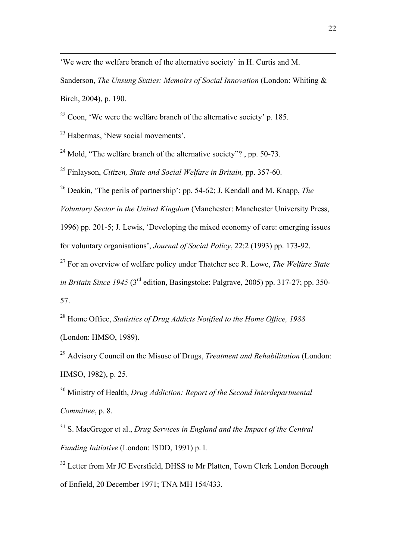'We were the welfare branch of the alternative society' in H. Curtis and M.

Sanderson, *The Unsung Sixties: Memoirs of Social Innovation* (London: Whiting & Birch, 2004), p. 190.

<sup>22</sup> Coon, 'We were the welfare branch of the alternative society' p. 185.

<sup>23</sup> Habermas, 'New social movements'.

 $\overline{a}$ 

<sup>24</sup> Mold, "The welfare branch of the alternative society"?, pp.  $50-73$ .

<sup>25</sup> Finlayson, *Citizen, State and Social Welfare in Britain,* pp. 357-60.

<sup>26</sup> Deakin, 'The perils of partnership': pp. 54-62; J. Kendall and M. Knapp, *The* 

*Voluntary Sector in the United Kingdom* (Manchester: Manchester University Press,

1996) pp. 201-5; J. Lewis, 'Developing the mixed economy of care: emerging issues for voluntary organisations', *Journal of Social Policy*, 22:2 (1993) pp. 173-92.

<sup>27</sup> For an overview of welfare policy under Thatcher see R. Lowe, *The Welfare State in Britain Since 1945* (3rd edition, Basingstoke: Palgrave, 2005) pp. 317-27; pp. 350- 57.

<sup>28</sup> Home Office, *Statistics of Drug Addicts Notified to the Home Office, 1988* 

(London: HMSO, 1989).

<sup>29</sup> Advisory Council on the Misuse of Drugs, *Treatment and Rehabilitation* (London: HMSO, 1982), p. 25.

<sup>30</sup> Ministry of Health, *Drug Addiction: Report of the Second Interdepartmental Committee*, p. 8.

<sup>31</sup> S. MacGregor et al., *Drug Services in England and the Impact of the Central Funding Initiative* (London: ISDD, 1991) p. l.

<sup>32</sup> Letter from Mr JC Eversfield, DHSS to Mr Platten, Town Clerk London Borough of Enfield, 20 December 1971; TNA MH 154/433.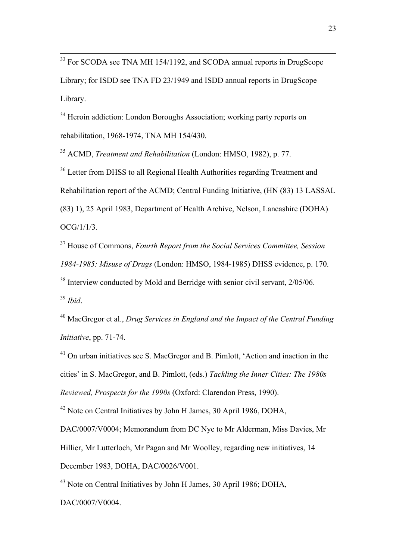<sup>33</sup> For SCODA see TNA MH 154/1192, and SCODA annual reports in DrugScope Library; for ISDD see TNA FD 23/1949 and ISDD annual reports in DrugScope Library.

<sup>34</sup> Heroin addiction: London Boroughs Association; working party reports on rehabilitation, 1968-1974, TNA MH 154/430.

<sup>35</sup> ACMD, *Treatment and Rehabilitation* (London: HMSO, 1982), p. 77.

<sup>36</sup> Letter from DHSS to all Regional Health Authorities regarding Treatment and Rehabilitation report of the ACMD; Central Funding Initiative, (HN (83) 13 LASSAL (83) 1), 25 April 1983, Department of Health Archive, Nelson, Lancashire (DOHA) OCG/1/1/3.

<sup>37</sup> House of Commons, *Fourth Report from the Social Services Committee, Session 1984-1985: Misuse of Drugs* (London: HMSO, 1984-1985) DHSS evidence, p. 170. <sup>38</sup> Interview conducted by Mold and Berridge with senior civil servant, 2/05/06. <sup>39</sup> *Ibid*.

<sup>40</sup> MacGregor et al., *Drug Services in England and the Impact of the Central Funding Initiative*, pp. 71-74.

<sup>41</sup> On urban initiatives see S. MacGregor and B. Pimlott, 'Action and inaction in the cities' in S. MacGregor, and B. Pimlott, (eds.) *Tackling the Inner Cities: The 1980s Reviewed, Prospects for the 1990s* (Oxford: Clarendon Press, 1990).

<sup>42</sup> Note on Central Initiatives by John H James, 30 April 1986, DOHA,

DAC/0007/V0004; Memorandum from DC Nye to Mr Alderman, Miss Davies, Mr Hillier, Mr Lutterloch, Mr Pagan and Mr Woolley, regarding new initiatives, 14 December 1983, DOHA, DAC/0026/V001.

<sup>43</sup> Note on Central Initiatives by John H James, 30 April 1986; DOHA, DAC/0007/V0004.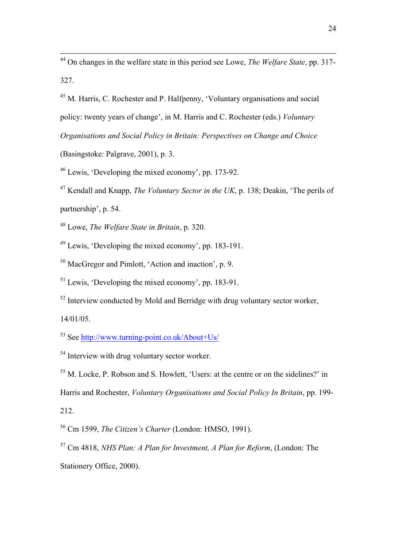44 On changes in the welfare state in this period see Lowe, *The Welfare State*, pp. 317- 327.

<sup>45</sup> M. Harris, C. Rochester and P. Halfpenny, 'Voluntary organisations and social policy: twenty years of change', in M. Harris and C. Rochester (eds.) *Voluntary Organisations and Social Policy in Britain: Perspectives on Change and Choice*  (Basingstoke: Palgrave, 2001), p. 3.

<sup>46</sup> Lewis, 'Developing the mixed economy', pp. 173-92.

<sup>47</sup> Kendall and Knapp, *The Voluntary Sector in the UK*, p. 138; Deakin, 'The perils of partnership', p. 54.

<sup>48</sup> Lowe, *The Welfare State in Britain*, p. 320.

<sup>49</sup> Lewis, 'Developing the mixed economy', pp. 183-191.

<sup>50</sup> MacGregor and Pimlott, 'Action and inaction', p. 9.

<sup>51</sup> Lewis, 'Developing the mixed economy', pp. 183-91.

 $52$  Interview conducted by Mold and Berridge with drug voluntary sector worker,

14/01/05.

<sup>53</sup> See http://www.turning-point.co.uk/About+Us/

<sup>54</sup> Interview with drug voluntary sector worker.

<sup>55</sup> M. Locke, P. Robson and S. Howlett, 'Users: at the centre or on the sidelines?' in Harris and Rochester, *Voluntary Organisations and Social Policy In Britain*, pp. 199- 212.

<sup>56</sup> Cm 1599, *The Citizen's Charter* (London: HMSO, 1991).

<sup>57</sup> Cm 4818, *NHS Plan: A Plan for Investment, A Plan for Reform*, (London: The Stationery Office, 2000).